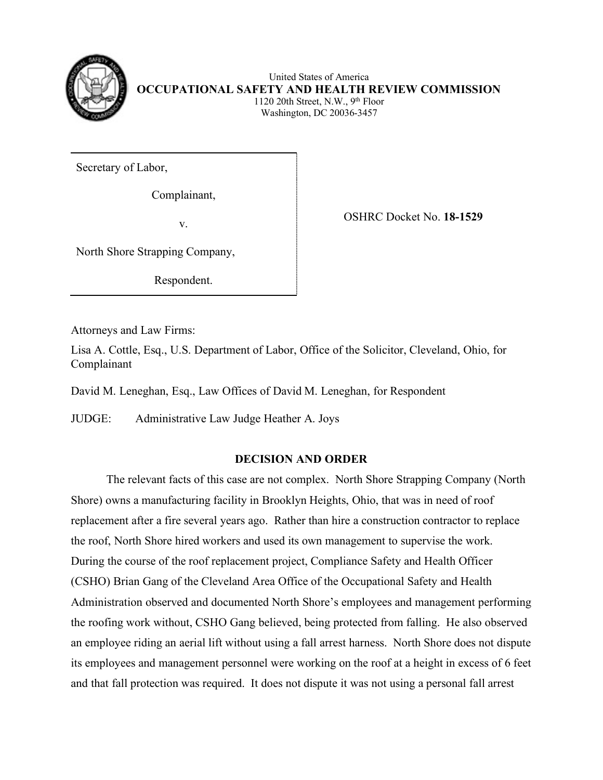

 1120 20th Street, N.W., 9th Floor United States of America **OCCUPATIONAL SAFETY AND HEALTH REVIEW COMMISSION**  Washington, DC 20036-3457

Secretary of Labor,

Complainant,

 $V_{\star}$ 

OSHRC Docket No. **18-1529** 

North Shore Strapping Company,

Respondent.

Attorneys and Law Firms:

Lisa A. Cottle, Esq., U.S. Department of Labor, Office of the Solicitor, Cleveland, Ohio, for Complainant

David M. Leneghan, Esq., Law Offices of David M. Leneghan, for Respondent

JUDGE: Administrative Law Judge Heather A. Joys

# **DECISION AND ORDER**

 Shore) owns a manufacturing facility in Brooklyn Heights, Ohio, that was in need of roof replacement after a fire several years ago. Rather than hire a construction contractor to replace the roof, North Shore hired workers and used its own management to supervise the work. an employee riding an aerial lift without using a fall arrest harness. North Shore does not dispute its employees and management personnel were working on the roof at a height in excess of 6 feet and that fall protection was required. It does not dispute it was not using a personal fall arrest The relevant facts of this case are not complex. North Shore Strapping Company (North During the course of the roof replacement project, Compliance Safety and Health Officer (CSHO) Brian Gang of the Cleveland Area Office of the Occupational Safety and Health Administration observed and documented North Shore's employees and management performing the roofing work without, CSHO Gang believed, being protected from falling. He also observed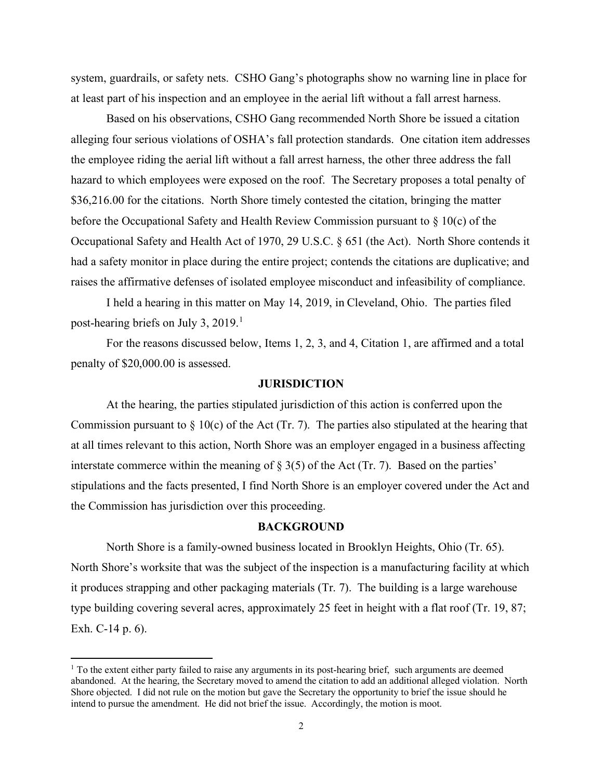system, guardrails, or safety nets. CSHO Gang's photographs show no warning line in place for at least part of his inspection and an employee in the aerial lift without a fall arrest harness.

 alleging four serious violations of OSHA's fall protection standards. One citation item addresses \$36,216.00 for the citations. North Shore timely contested the citation, bringing the matter raises the affirmative defenses of isolated employee misconduct and infeasibility of compliance. Based on his observations, CSHO Gang recommended North Shore be issued a citation the employee riding the aerial lift without a fall arrest harness, the other three address the fall hazard to which employees were exposed on the roof. The Secretary proposes a total penalty of before the Occupational Safety and Health Review Commission pursuant to § 10(c) of the Occupational Safety and Health Act of 1970, 29 U.S.C. § 651 (the Act). North Shore contends it had a safety monitor in place during the entire project; contends the citations are duplicative; and

post-hearing briefs on July 3, 2019.<sup>1</sup> I held a hearing in this matter on May 14, 2019, in Cleveland, Ohio. The parties filed

 For the reasons discussed below, Items 1, 2, 3, and 4, Citation 1, are affirmed and a total penalty of \$20,000.00 is assessed.

### **JURISDICTION**

interstate commerce within the meaning of  $\S 3(5)$  of the Act (Tr. 7). Based on the parties' stipulations and the facts presented, I find North Shore is an employer covered under the Act and the Commission has jurisdiction over this proceeding. At the hearing, the parties stipulated jurisdiction of this action is conferred upon the Commission pursuant to  $\S$  10(c) of the Act (Tr. 7). The parties also stipulated at the hearing that at all times relevant to this action, North Shore was an employer engaged in a business affecting

### **BACKGROUND**

 North Shore's worksite that was the subject of the inspection is a manufacturing facility at which it produces strapping and other packaging materials (Tr. 7). The building is a large warehouse Exh. C-14 p. 6). Exh. C-14 p. 6).<br><sup>1</sup> To the extent either party failed to raise any arguments in its post-hearing brief, such arguments are deemed North Shore is a family-owned business located in Brooklyn Heights, Ohio (Tr. 65). type building covering several acres, approximately 25 feet in height with a flat roof (Tr. 19, 87;

<span id="page-1-0"></span> abandoned. At the hearing, the Secretary moved to amend the citation to add an additional alleged violation. North Shore objected. I did not rule on the motion but gave the Secretary the opportunity to brief the issue should he intend to pursue the amendment. He did not brief the issue. Accordingly, the motion is moot.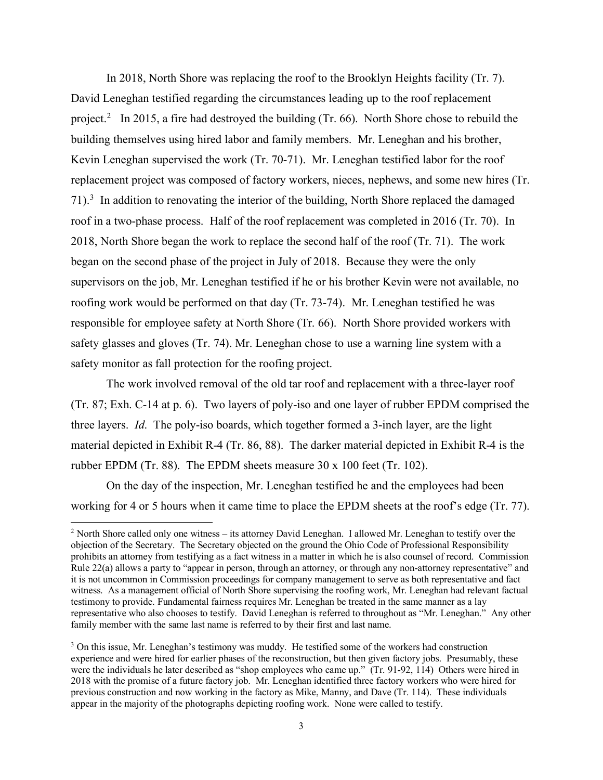In 2018, North Shore was replacing the roof to the Brooklyn Heights facility (Tr. 7). David Leneghan testified regarding the circumstances leading up to the roof replacement project.<sup>2</sup> In 2015, a fire had destroyed the building (Tr. 66). North Shore chose to rebuild the Kevin Leneghan supervised the work (Tr. 70-71). Mr. Leneghan testified labor for the roof  $71$ ).<sup>[3](#page-2-1)</sup> In addition to renovating the interior of the building, North Shore replaced the damaged roof in a two-phase process. Half of the roof replacement was completed in 2016 (Tr. 70). In 2018, North Shore began the work to replace the second half of the roof (Tr. 71). The work began on the second phase of the project in July of 2018. Because they were the only roofing work would be performed on that day (Tr. 73-74). Mr. Leneghan testified he was responsible for employee safety at North Shore (Tr. 66). North Shore provided workers with safety monitor as fall protection for the roofing project. building themselves using hired labor and family members. Mr. Leneghan and his brother, replacement project was composed of factory workers, nieces, nephews, and some new hires (Tr. supervisors on the job, Mr. Leneghan testified if he or his brother Kevin were not available, no safety glasses and gloves (Tr. 74). Mr. Leneghan chose to use a warning line system with a

 three layers. *Id*. The poly-iso boards, which together formed a 3-inch layer, are the light material depicted in Exhibit R-4 (Tr. 86, 88). The darker material depicted in Exhibit R-4 is the rubber EPDM (Tr. 88). The EPDM sheets measure 30 x 100 feet (Tr. 102). The work involved removal of the old tar roof and replacement with a three-layer roof (Tr. 87; Exh. C-14 at p. 6). Two layers of poly-iso and one layer of rubber EPDM comprised the

working for 4 or 5 hours when it came time to place the EPDM sheets at the roof's edge (Tr. 77).<br><sup>2</sup> North Shore called only one witness – its attorney David Leneghan. I allowed Mr. Leneghan to testify over the On the day of the inspection, Mr. Leneghan testified he and the employees had been

<span id="page-2-0"></span> $2$  North Shore called only one witness – its attorney David Leneghan. I allowed Mr. Leneghan to testify over the prohibits an attorney from testifying as a fact witness in a matter in which he is also counsel of record. Commission it is not uncommon in Commission proceedings for company management to serve as both representative and fact witness. As a management official of North Shore supervising the roofing work, Mr. Leneghan had relevant factual testimony to provide. Fundamental fairness requires Mr. Leneghan be treated in the same manner as a lay representative who also chooses to testify. David Leneghan is referred to throughout as "Mr. Leneghan." Any other family member with the same last name is referred to by their first and last name. objection of the Secretary. The Secretary objected on the ground the Ohio Code of Professional Responsibility Rule 22(a) allows a party to "appear in person, through an attorney, or through any non-attorney representative" and

<span id="page-2-1"></span><sup>&</sup>lt;sup>3</sup> On this issue, Mr. Leneghan's testimony was muddy. He testified some of the workers had construction experience and were hired for earlier phases of the reconstruction, but then given factory jobs. Presumably, these previous construction and now working in the factory as Mike, Manny, and Dave (Tr. 114). These individuals appear in the majority of the photographs depicting roofing work. None were called to testify. were the individuals he later described as "shop employees who came up." (Tr. 91-92, 114) Others were hired in 2018 with the promise of a future factory job. Mr. Leneghan identified three factory workers who were hired for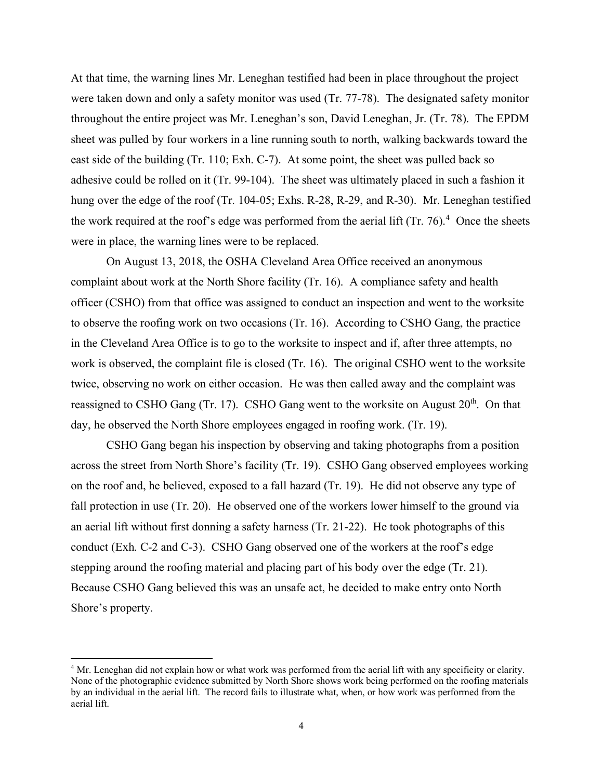were taken down and only a safety monitor was used (Tr. 77-78). The designated safety monitor throughout the entire project was Mr. Leneghan's son, David Leneghan, Jr. (Tr. 78). The EPDM adhesive could be rolled on it (Tr. 99-104). The sheet was ultimately placed in such a fashion it hung over the edge of the roof (Tr. 104-05; Exhs. R-28, R-29, and R-30). Mr. Leneghan testified the work required at the roof's edge was performed from the aerial lift  $(Tr. 76)^4$  Once the sheets At that time, the warning lines Mr. Leneghan testified had been in place throughout the project sheet was pulled by four workers in a line running south to north, walking backwards toward the east side of the building (Tr. 110; Exh. C-7). At some point, the sheet was pulled back so were in place, the warning lines were to be replaced.

 to observe the roofing work on two occasions (Tr. 16). According to CSHO Gang, the practice work is observed, the complaint file is closed (Tr. 16). The original CSHO went to the worksite reassigned to CSHO Gang (Tr. 17). CSHO Gang went to the worksite on August 20<sup>th</sup>. On that day, he observed the North Shore employees engaged in roofing work. (Tr. 19). On August 13, 2018, the OSHA Cleveland Area Office received an anonymous complaint about work at the North Shore facility (Tr. 16). A compliance safety and health officer (CSHO) from that office was assigned to conduct an inspection and went to the worksite in the Cleveland Area Office is to go to the worksite to inspect and if, after three attempts, no twice, observing no work on either occasion. He was then called away and the complaint was

 across the street from North Shore's facility (Tr. 19). CSHO Gang observed employees working on the roof and, he believed, exposed to a fall hazard (Tr. 19). He did not observe any type of fall protection in use (Tr. 20). He observed one of the workers lower himself to the ground via an aerial lift without first donning a safety harness (Tr. 21-22). He took photographs of this conduct (Exh. C-2 and C-3). CSHO Gang observed one of the workers at the roof's edge stepping around the roofing material and placing part of his body over the edge (Tr. 21). CSHO Gang began his inspection by observing and taking photographs from a position Because CSHO Gang believed this was an unsafe act, he decided to make entry onto North Shore's property.

<span id="page-3-0"></span><sup>&</sup>lt;sup>4</sup> Mr. Leneghan did not explain how or what work was performed from the aerial lift with any specificity or clarity. by an individual in the aerial lift. The record fails to illustrate what, when, or how work was performed from the None of the photographic evidence submitted by North Shore shows work being performed on the roofing materials aerial lift.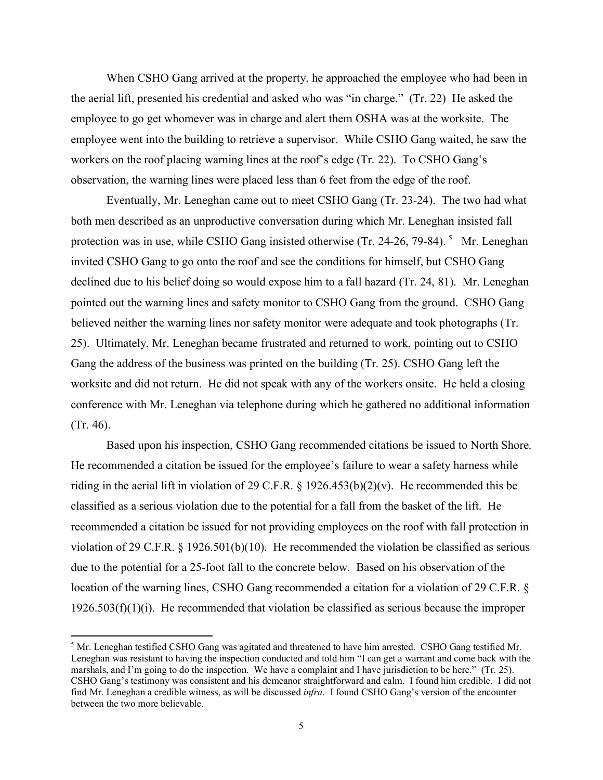the aerial lift, presented his credential and asked who was "in charge." (Tr. 22) He asked the employee to go get whomever was in charge and alert them OSHA was at the worksite. The workers on the roof placing warning lines at the roof's edge (Tr. 22). To CSHO Gang's When CSHO Gang arrived at the property, he approached the employee who had been in employee went into the building to retrieve a supervisor. While CSHO Gang waited, he saw the observation, the warning lines were placed less than 6 feet from the edge of the roof.

 Eventually, Mr. Leneghan came out to meet CSHO Gang (Tr. 23-24). The two had what protection was in use, while CSHO Gang insisted otherwise (Tr. 24-26, 79-84).<sup>5</sup> Mr. Leneghan declined due to his belief doing so would expose him to a fall hazard (Tr. 24, 81). Mr. Leneghan 25). Ultimately, Mr. Leneghan became frustrated and returned to work, pointing out to CSHO both men described as an unproductive conversation during which Mr. Leneghan insisted fall invited CSHO Gang to go onto the roof and see the conditions for himself, but CSHO Gang pointed out the warning lines and safety monitor to CSHO Gang from the ground. CSHO Gang believed neither the warning lines nor safety monitor were adequate and took photographs (Tr. Gang the address of the business was printed on the building (Tr. 25). CSHO Gang left the worksite and did not return. He did not speak with any of the workers onsite. He held a closing conference with Mr. Leneghan via telephone during which he gathered no additional information (Tr. 46).

Based upon his inspection, CSHO Gang recommended citations be issued to North Shore. Based upon his inspection, CSHO Gang recommended citations be issued to North Shore. He recommended a citation be issued for the employee's failure to wear a safety harness while riding in the aerial lift in violation of 29 C.F.R. § 1926.453(b)(2)(v). He recommended this be classified as a serious violation due to the potential for a fall from the basket of the lift. He due to the potential for a 25-foot fall to the concrete below. Based on his observation of the  $1926.503(f)(1)(i)$ . He recommended that violation be classified as serious because the improper recommended a citation be issued for not providing employees on the roof with fall protection in violation of 29 C.F.R. § 1926.501(b)(10). He recommended the violation be classified as serious location of the warning lines, CSHO Gang recommended a citation for a violation of 29 C.F.R. §

<span id="page-4-0"></span> Leneghan was resistant to having the inspection conducted and told him "I can get a warrant and come back with the marshals, and I'm going to do the inspection. We have a complaint and I have jurisdiction to be here." (Tr. 25). find Mr. Leneghan a credible witness, as will be discussed *infra*. I found CSHO Gang's version of the encounter between the two more believable.  $\frac{1}{5}$ <sup>5</sup> Mr. Leneghan testified CSHO Gang was agitated and threatened to have him arrested. CSHO Gang testified Mr. CSHO Gang's testimony was consistent and his demeanor straightforward and calm. I found him credible. I did not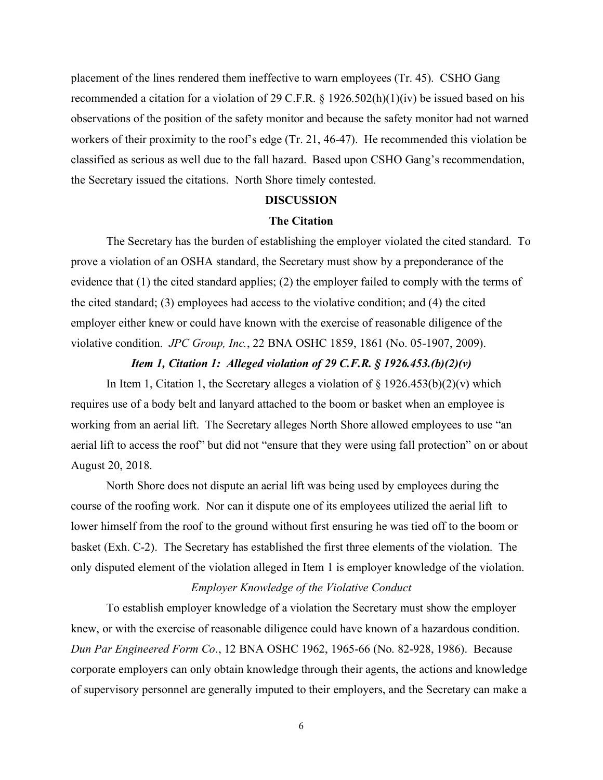placement of the lines rendered them ineffective to warn employees (Tr. 45). CSHO Gang classified as serious as well due to the fall hazard. Based upon CSHO Gang's recommendation, recommended a citation for a violation of 29 C.F.R. § 1926.502(h)(1)(iv) be issued based on his observations of the position of the safety monitor and because the safety monitor had not warned workers of their proximity to the roof's edge (Tr. 21, 46-47). He recommended this violation be the Secretary issued the citations. North Shore timely contested.

### **DISCUSSION**

### **The Citation**

 The Secretary has the burden of establishing the employer violated the cited standard. To violative condition. *JPC Group, Inc.*, 22 BNA OSHC 1859, 1861 (No. 05-1907, 2009). prove a violation of an OSHA standard, the Secretary must show by a preponderance of the evidence that (1) the cited standard applies; (2) the employer failed to comply with the terms of the cited standard; (3) employees had access to the violative condition; and (4) the cited employer either knew or could have known with the exercise of reasonable diligence of the

### *Item 1, Citation 1: Alleged violation of 29 C.F.R. § 1926.453.(b)(2)(v)*

 requires use of a body belt and lanyard attached to the boom or basket when an employee is working from an aerial lift. The Secretary alleges North Shore allowed employees to use "an In Item 1, Citation 1, the Secretary alleges a violation of  $\S 1926.453(b)(2)(v)$  which aerial lift to access the roof" but did not "ensure that they were using fall protection" on or about August 20, 2018.

 basket (Exh. C-2). The Secretary has established the first three elements of the violation. The North Shore does not dispute an aerial lift was being used by employees during the course of the roofing work. Nor can it dispute one of its employees utilized the aerial lift to lower himself from the roof to the ground without first ensuring he was tied off to the boom or only disputed element of the violation alleged in Item 1 is employer knowledge of the violation.

## *Employer Knowledge of the Violative Conduct*

To establish employer knowledge of a violation the Secretary must show the employer knew, or with the exercise of reasonable diligence could have known of a hazardous condition. *Dun Par Engineered Form Co*., 12 BNA OSHC 1962, 1965-66 (No. 82-928, 1986). Because corporate employers can only obtain knowledge through their agents, the actions and knowledge of supervisory personnel are generally imputed to their employers, and the Secretary can make a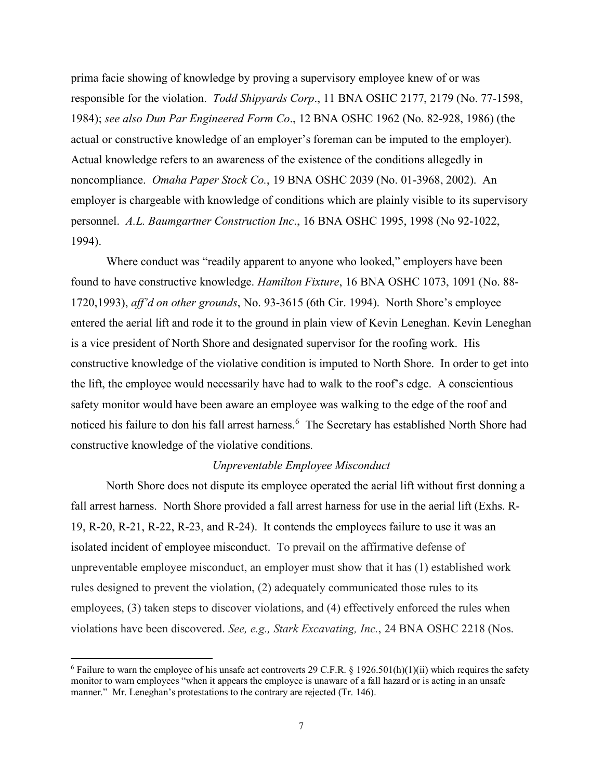responsible for the violation. *Todd Shipyards Corp*., 11 BNA OSHC 2177, 2179 (No. 77-1598, actual or constructive knowledge of an employer's foreman can be imputed to the employer). Actual knowledge refers to an awareness of the existence of the conditions allegedly in noncompliance. *Omaha Paper Stock Co.*, 19 BNA OSHC 2039 (No. 01-3968, 2002). An personnel. *A.L. Baumgartner Construction Inc*., 16 BNA OSHC 1995, 1998 (No 92-1022,  $1994$ ). prima facie showing of knowledge by proving a supervisory employee knew of or was 1984); *see also Dun Par Engineered Form Co*., 12 BNA OSHC 1962 (No. 82-928, 1986) (the employer is chargeable with knowledge of conditions which are plainly visible to its supervisory

 1720,1993), *aff'd on other grounds*, No. 93-3615 (6th Cir. 1994). North Shore's employee entered the aerial lift and rode it to the ground in plain view of Kevin Leneghan. Kevin Leneghan is a vice president of North Shore and designated supervisor for the roofing work. His constructive knowledge of the violative condition is imputed to North Shore. In order to get into noticed his failure to don his fall arrest harness.<sup>6</sup> The Secretary has established North Shore had Where conduct was "readily apparent to anyone who looked," employers have been found to have constructive knowledge. *Hamilton Fixture*, 16 BNA OSHC 1073, 1091 (No. 88 the lift, the employee would necessarily have had to walk to the roof's edge. A conscientious safety monitor would have been aware an employee was walking to the edge of the roof and constructive knowledge of the violative conditions.

### *Unpreventable Employee Misconduct*

 North Shore does not dispute its employee operated the aerial lift without first donning a 19, R-20, R-21, R-22, R-23, and R-24). It contends the employees failure to use it was an isolated incident of employee misconduct. To prevail on the affirmative defense of fall arrest harness. North Shore provided a fall arrest harness for use in the aerial lift (Exhs. Runpreventable employee misconduct, an employer must show that it has (1) established work rules designed to prevent the violation, (2) adequately communicated those rules to its employees, (3) taken steps to discover violations, and (4) effectively enforced the rules when violations have been discovered. *See, e.g., Stark Excavating, Inc.*, 24 BNA OSHC 2218 (Nos.

<span id="page-6-0"></span><sup>&</sup>lt;sup>6</sup> Failure to warn the employee of his unsafe act controverts 29 C.F.R. § 1926.501(h)(1)(ii) which requires the safety manner." Mr. Leneghan's protestations to the contrary are rejected (Tr. 146). monitor to warn employees "when it appears the employee is unaware of a fall hazard or is acting in an unsafe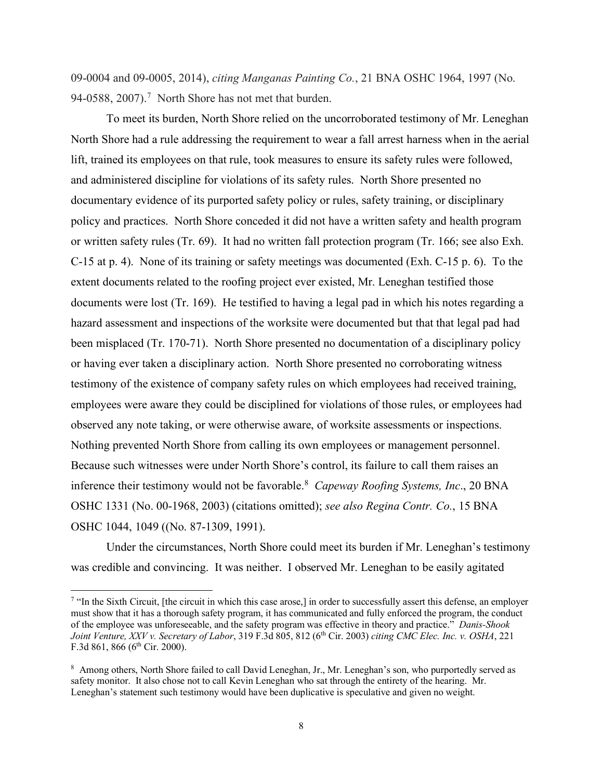94-0588, 200[7](#page-7-0)).<sup>7</sup> North Shore has not met that burden. 09-0004 and 09-0005, 2014), *citing Manganas Painting Co.*, 21 BNA OSHC 1964, 1997 (No.

 or written safety rules (Tr. 69). It had no written fall protection program (Tr. 166; see also Exh. C-15 at p. 4). None of its training or safety meetings was documented (Exh. C-15 p. 6). To the extent documents related to the roofing project ever existed, Mr. Leneghan testified those documents were lost (Tr. 169). He testified to having a legal pad in which his notes regarding a been misplaced (Tr. 170-71). North Shore presented no documentation of a disciplinary policy observed any note taking, or were otherwise aware, of worksite assessments or inspections. Nothing prevented North Shore from calling its own employees or management personnel. observed any note taking, or were otherwise aware, of worksite assessments or inspections.<br>Nothing prevented North Shore from calling its own employees or management personnel.<br>Because such witnesses were under North Shore inference their testimony would not be favorable.[8](#page-7-1) *Capeway Roofing Systems, Inc*., 20 BNA To meet its burden, North Shore relied on the uncorroborated testimony of Mr. Leneghan North Shore had a rule addressing the requirement to wear a fall arrest harness when in the aerial lift, trained its employees on that rule, took measures to ensure its safety rules were followed, and administered discipline for violations of its safety rules. North Shore presented no documentary evidence of its purported safety policy or rules, safety training, or disciplinary policy and practices. North Shore conceded it did not have a written safety and health program hazard assessment and inspections of the worksite were documented but that that legal pad had or having ever taken a disciplinary action. North Shore presented no corroborating witness testimony of the existence of company safety rules on which employees had received training, employees were aware they could be disciplined for violations of those rules, or employees had OSHC 1331 (No. 00-1968, 2003) (citations omitted); *see also Regina Contr. Co.*, 15 BNA OSHC 1044, 1049 ((No. 87-1309, 1991).

 was credible and convincing. It was neither. I observed Mr. Leneghan to be easily agitated Under the circumstances, North Shore could meet its burden if Mr. Leneghan's testimony

<span id="page-7-0"></span> must show that it has a thorough safety program, it has communicated and fully enforced the program, the conduct of the employee was unforeseeable, and the safety program was effective in theory and practice." *Danis-Shook Joint Venture, XXV v. Secretary of Labor*, 319 F.3d 805, 812 (6th Cir. 2003) *citing CMC Elec. Inc. v. OSHA*, 221 F.3d 861, 866 ( $6<sup>th</sup>$  Cir. 2000). <sup>7</sup> "In the Sixth Circuit, [the circuit in which this case arose,] in order to successfully assert this defense, an employer

<span id="page-7-1"></span><sup>&</sup>lt;sup>8</sup> Among others, North Shore failed to call David Leneghan, Jr., Mr. Leneghan's son, who purportedly served as safety monitor. It also chose not to call Kevin Leneghan who sat through the entirety of the hearing. Mr. Leneghan's statement such testimony would have been duplicative is speculative and given no weight.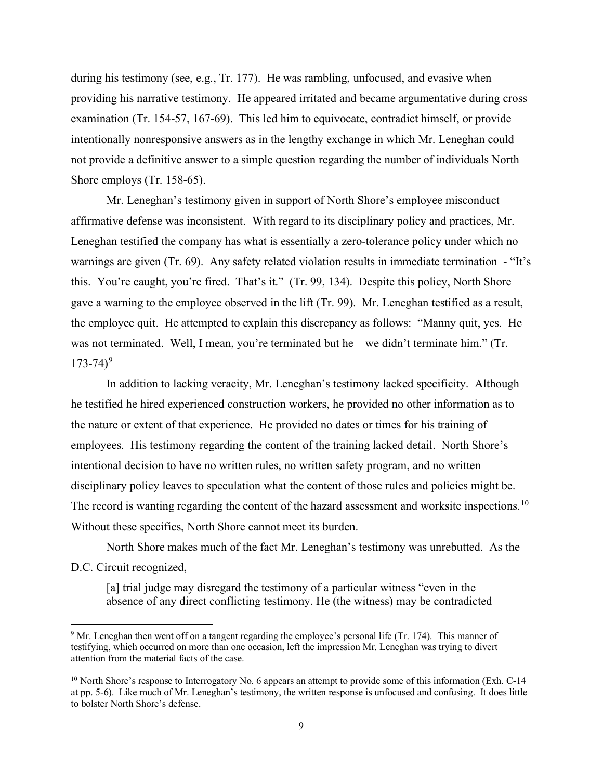during his testimony (see, e.g., Tr. 177). He was rambling, unfocused, and evasive when providing his narrative testimony. He appeared irritated and became argumentative during cross examination (Tr. 154-57, 167-69). This led him to equivocate, contradict himself, or provide intentionally nonresponsive answers as in the lengthy exchange in which Mr. Leneghan could not provide a definitive answer to a simple question regarding the number of individuals North Shore employs (Tr. 158-65).

 affirmative defense was inconsistent. With regard to its disciplinary policy and practices, Mr. warnings are given (Tr. 69). Any safety related violation results in immediate termination - "It's this. You're caught, you're fired. That's it." (Tr. 99, 134). Despite this policy, North Shore gave a warning to the employee observed in the lift (Tr. 99). Mr. Leneghan testified as a result, the employee quit. He attempted to explain this discrepancy as follows: "Manny quit, yes. He  $173 - 74)^9$  $173 - 74)^9$ Mr. Leneghan's testimony given in support of North Shore's employee misconduct Leneghan testified the company has what is essentially a zero-tolerance policy under which no was not terminated. Well, I mean, you're terminated but he—we didn't terminate him." (Tr.

 In addition to lacking veracity, Mr. Leneghan's testimony lacked specificity. Although the nature or extent of that experience. He provided no dates or times for his training of employees. His testimony regarding the content of the training lacked detail. North Shore's disciplinary policy leaves to speculation what the content of those rules and policies might be. disciplinary policy leaves to speculation what the content of those rules and policies might be.<br>The record is wanting regarding the content of the hazard assessment and worksite inspections.<sup>[10](#page-8-1)</sup> he testified he hired experienced construction workers, he provided no other information as to intentional decision to have no written rules, no written safety program, and no written Without these specifics, North Shore cannot meet its burden.

 North Shore makes much of the fact Mr. Leneghan's testimony was unrebutted. As the D.C. Circuit recognized,

[a] trial judge may disregard the testimony of a particular witness "even in the absence of any direct conflicting testimony. He (the witness) may be contradicted

<span id="page-8-0"></span> $9$  Mr. Leneghan then went off on a tangent regarding the employee's personal life (Tr. 174). This manner of testifying, which occurred on more than one occasion, left the impression Mr. Leneghan was trying to divert attention from the material facts of the case.

<span id="page-8-1"></span><sup>&</sup>lt;sup>10</sup> North Shore's response to Interrogatory No. 6 appears an attempt to provide some of this information (Exh. C-14 at pp. 5-6). Like much of Mr. Leneghan's testimony, the written response is unfocused and confusing. It does little to bolster North Shore's defense.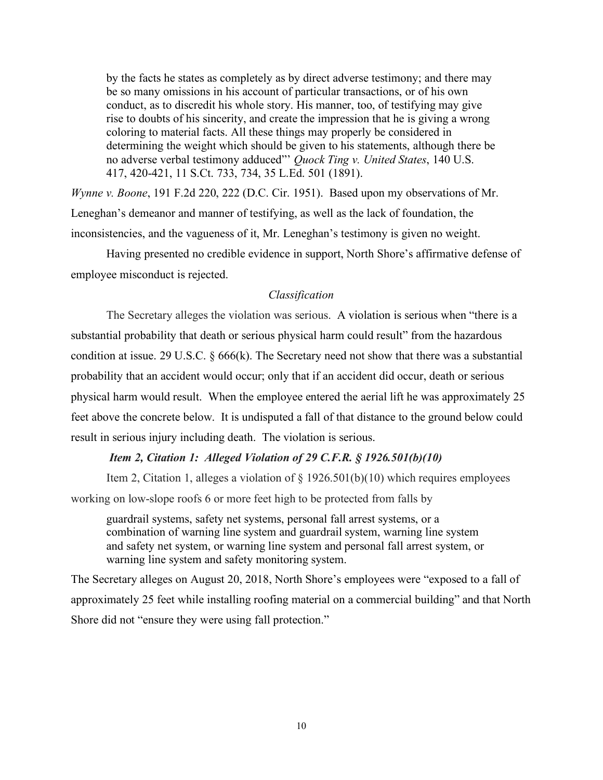by the facts he states as completely as by direct adverse testimony; and there may be so many omissions in his account of particular transactions, or of his own conduct, as to discredit his whole story. His manner, too, of testifying may give rise to doubts of his sincerity, and create the impression that he is giving a wrong coloring to material facts. All these things may properly be considered in determining the weight which should be given to his statements, although there be no adverse verbal testimony adduced"' *Quock Ting v. United States*, 140 U.S. 417, 420-421, 11 S.Ct. 733, 734, 35 L.Ed. 501 (1891).

 *Wynne v. Boone*, 191 F.2d 220, 222 (D.C. Cir. 1951). Based upon my observations of Mr. Leneghan's demeanor and manner of testifying, as well as the lack of foundation, the inconsistencies, and the vagueness of it, Mr. Leneghan's testimony is given no weight.

Having presented no credible evidence in support, North Shore's affirmative defense of employee misconduct is rejected.

## *Classification*

 The Secretary alleges the violation was serious. A violation is serious when "there is a physical harm would result. When the employee entered the aerial lift he was approximately 25 result in serious injury including death. The violation is serious. substantial probability that death or serious physical harm could result" from the hazardous condition at issue. 29 U.S.C. § 666(k). The Secretary need not show that there was a substantial probability that an accident would occur; only that if an accident did occur, death or serious feet above the concrete below. It is undisputed a fall of that distance to the ground below could

## *Item 2, Citation 1: Alleged Violation of 29 C.F.R. § 1926.501(b)(10)*

Item 2, Citation 1, alleges a violation of § 1926.501(b)(10) which requires employees

working on low-slope roofs 6 or more feet high to be protected from falls by

guardrail systems, safety net systems, personal fall arrest systems, or a combination of warning line system and guardrail system, warning line system and safety net system, or warning line system and personal fall arrest system, or warning line system and safety monitoring system.

The Secretary alleges on August 20, 2018, North Shore's employees were "exposed to a fall of approximately 25 feet while installing roofing material on a commercial building" and that North Shore did not "ensure they were using fall protection."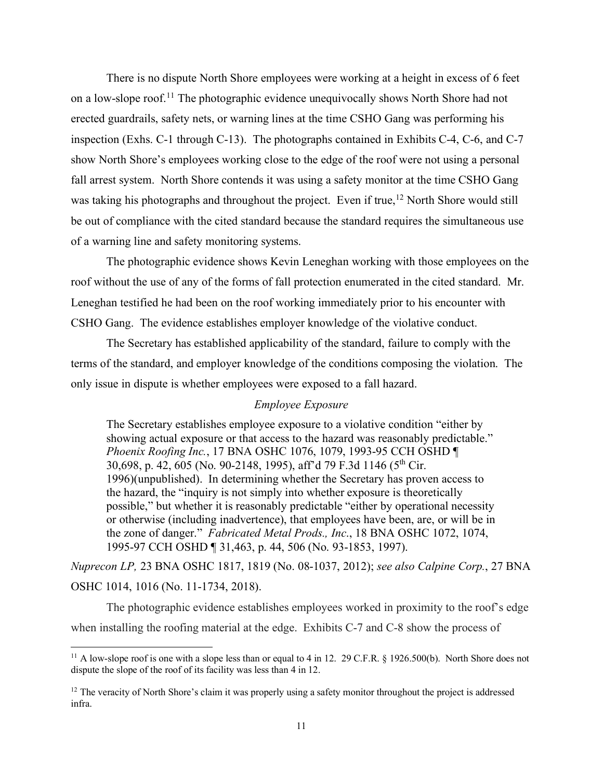There is no dispute North Shore employees were working at a height in excess of 6 feet inspection (Exhs. C-1 through C-13). The photographs contained in Exhibits C-4, C-6, and C-7 fall arrest system. North Shore contends it was using a safety monitor at the time CSHO Gang was taking his photographs and throughout the project. Even if true,<sup>[12](#page-10-1)</sup> North Shore would still on a low-slope roof.<sup>[11](#page-10-0)</sup> The photographic evidence unequivocally shows North Shore had not erected guardrails, safety nets, or warning lines at the time CSHO Gang was performing his show North Shore's employees working close to the edge of the roof were not using a personal be out of compliance with the cited standard because the standard requires the simultaneous use of a warning line and safety monitoring systems.

 roof without the use of any of the forms of fall protection enumerated in the cited standard. Mr. CSHO Gang. The evidence establishes employer knowledge of the violative conduct. The photographic evidence shows Kevin Leneghan working with those employees on the Leneghan testified he had been on the roof working immediately prior to his encounter with

 terms of the standard, and employer knowledge of the conditions composing the violation. The The Secretary has established applicability of the standard, failure to comply with the only issue in dispute is whether employees were exposed to a fall hazard.

### *Employee Exposure*

 the zone of danger." *Fabricated Metal Prods., Inc*., 18 BNA OSHC 1072, 1074, The Secretary establishes employee exposure to a violative condition "either by showing actual exposure or that access to the hazard was reasonably predictable." *Phoenix Roofing Inc.*, 17 BNA OSHC 1076, 1079, 1993-95 CCH OSHD ¶ 30,698, p. 42, 605 (No. 90-2148, 1995), aff'd 79 F.3d 1146 (5th Cir. 1996)(unpublished). In determining whether the Secretary has proven access to the hazard, the "inquiry is not simply into whether exposure is theoretically possible," but whether it is reasonably predictable "either by operational necessity or otherwise (including inadvertence), that employees have been, are, or will be in 1995-97 CCH OSHD ¶ 31,463, p. 44, 506 (No. 93-1853, 1997).

*Nuprecon LP,* 23 BNA OSHC 1817, 1819 (No. 08-1037, 2012); *see also Calpine Corp.*, 27 BNA OSHC 1014, 1016 (No. 11-1734, 2018).

 when installing the roofing material at the edge. Exhibits C-7 and C-8 show the process of The photographic evidence establishes employees worked in proximity to the roof's edge

<span id="page-10-0"></span><sup>&</sup>lt;sup>11</sup> A low-slope roof is one with a slope less than or equal to 4 in 12. 29 C.F.R.  $\S$  1926.500(b). North Shore does not dispute the slope of the roof of its facility was less than 4 in 12.

<span id="page-10-1"></span> $12$  The veracity of North Shore's claim it was properly using a safety monitor throughout the project is addressed infra.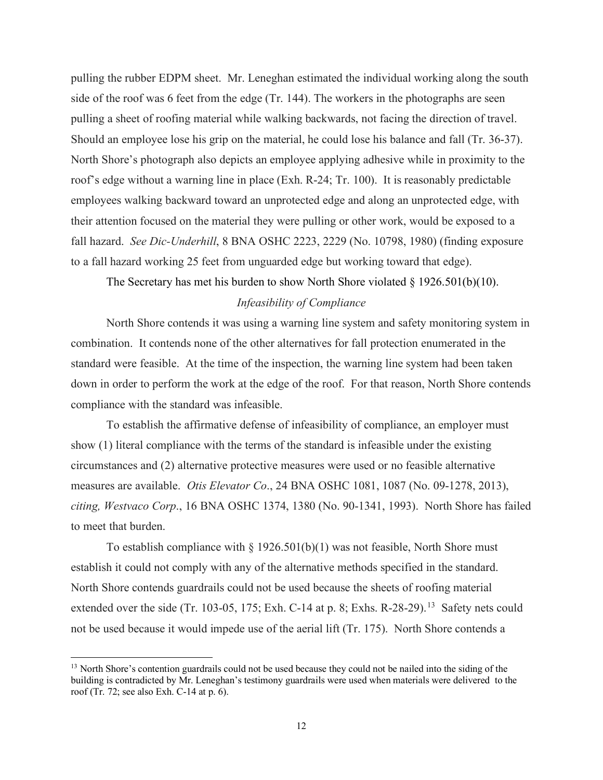side of the roof was 6 feet from the edge (Tr. 144). The workers in the photographs are seen Should an employee lose his grip on the material, he could lose his balance and fall (Tr. 36-37). roof's edge without a warning line in place (Exh. R-24; Tr. 100). It is reasonably predictable fall hazard. *See Dic-Underhill*, 8 BNA OSHC 2223, 2229 (No. 10798, 1980) (finding exposure pulling the rubber EDPM sheet. Mr. Leneghan estimated the individual working along the south pulling a sheet of roofing material while walking backwards, not facing the direction of travel. North Shore's photograph also depicts an employee applying adhesive while in proximity to the employees walking backward toward an unprotected edge and along an unprotected edge, with their attention focused on the material they were pulling or other work, would be exposed to a to a fall hazard working 25 feet from unguarded edge but working toward that edge).

The Secretary has met his burden to show North Shore violated  $\S$  1926.501(b)(10).

## *Infeasibility of Compliance*

 combination. It contends none of the other alternatives for fall protection enumerated in the North Shore contends it was using a warning line system and safety monitoring system in standard were feasible. At the time of the inspection, the warning line system had been taken down in order to perform the work at the edge of the roof. For that reason, North Shore contends compliance with the standard was infeasible.

 measures are available. *Otis Elevator Co*., 24 BNA OSHC 1081, 1087 (No. 09-1278, 2013), *citing, Westvaco Corp*., 16 BNA OSHC 1374, 1380 (No. 90-1341, 1993). North Shore has failed to meet that burden. To establish the affirmative defense of infeasibility of compliance, an employer must show (1) literal compliance with the terms of the standard is infeasible under the existing circumstances and (2) alternative protective measures were used or no feasible alternative

 establish it could not comply with any of the alternative methods specified in the standard. North Shore contends guardrails could not be used because the sheets of roofing material extended over the side (Tr. 103-05, 175; Exh. C-14 at p. 8; Exhs. R-28-29).<sup>[13](#page-11-0)</sup> Safety nets could not be used because it would impede use of the aerial lift (Tr. 175). North Shore contends a To establish compliance with  $\S 1926.501(b)(1)$  was not feasible, North Shore must

<span id="page-11-0"></span><sup>&</sup>lt;sup>13</sup> North Shore's contention guardrails could not be used because they could not be nailed into the siding of the building is contradicted by Mr. Leneghan's testimony guardrails were used when materials were delivered to the roof (Tr. 72; see also Exh. C-14 at p. 6).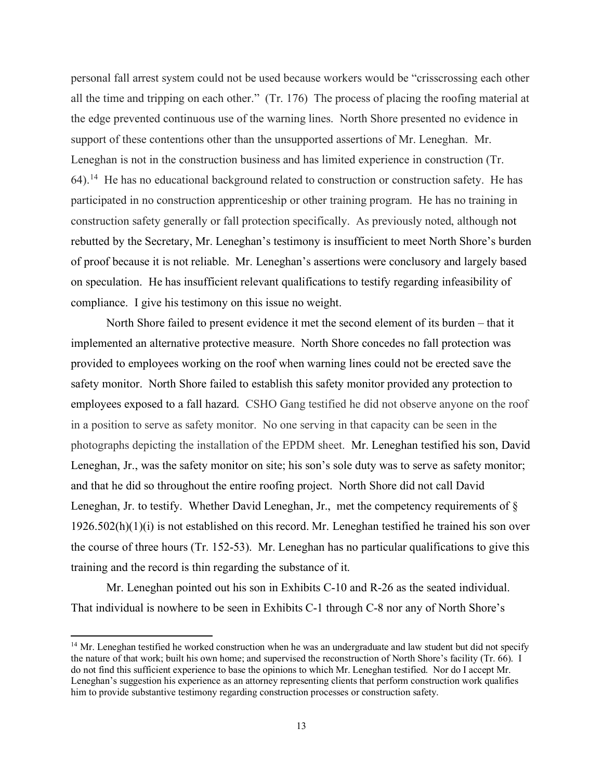all the time and tripping on each other." (Tr. 176) The process of placing the roofing material at the edge prevented continuous use of the warning lines. North Shore presented no evidence in support of these contentions other than the unsupported assertions of Mr. Leneghan. Mr. Leneghan is not in the construction business and has limited experience in construction (Tr. 64).<sup>14</sup> He has no educational background related to construction or construction safety. He has participated in no construction apprenticeship or other training program. He has no training in construction safety generally or fall protection specifically. As previously noted, although not rebutted by the Secretary, Mr. Leneghan's testimony is insufficient to meet North Shore's burden of proof because it is not reliable. Mr. Leneghan's assertions were conclusory and largely based personal fall arrest system could not be used because workers would be "crisscrossing each other on speculation. He has insufficient relevant qualifications to testify regarding infeasibility of compliance. I give his testimony on this issue no weight.

 North Shore failed to present evidence it met the second element of its burden – that it implemented an alternative protective measure. North Shore concedes no fall protection was employees exposed to a fall hazard. CSHO Gang testified he did not observe anyone on the roof photographs depicting the installation of the EPDM sheet. Mr. Leneghan testified his son, David and that he did so throughout the entire roofing project. North Shore did not call David Leneghan, Jr. to testify. Whether David Leneghan, Jr., met the competency requirements of §  $1926.502(h)(1)(i)$  is not established on this record. Mr. Leneghan testified he trained his son over training and the record is thin regarding the substance of it. provided to employees working on the roof when warning lines could not be erected save the safety monitor. North Shore failed to establish this safety monitor provided any protection to in a position to serve as safety monitor. No one serving in that capacity can be seen in the Leneghan, Jr., was the safety monitor on site; his son's sole duty was to serve as safety monitor; the course of three hours (Tr. 152-53). Mr. Leneghan has no particular qualifications to give this

Mr. Leneghan pointed out his son in Exhibits C-10 and R-26 as the seated individual. That individual is nowhere to be seen in Exhibits C-1 through C-8 nor any of North Shore's

<span id="page-12-0"></span><sup>&</sup>lt;sup>14</sup> Mr. Leneghan testified he worked construction when he was an undergraduate and law student but did not specify the nature of that work; built his own home; and supervised the reconstruction of North Shore's facility (Tr. 66). I do not find this sufficient experience to base the opinions to which Mr. Leneghan testified. Nor do I accept Mr. Leneghan's suggestion his experience as an attorney representing clients that perform construction work qualifies him to provide substantive testimony regarding construction processes or construction safety.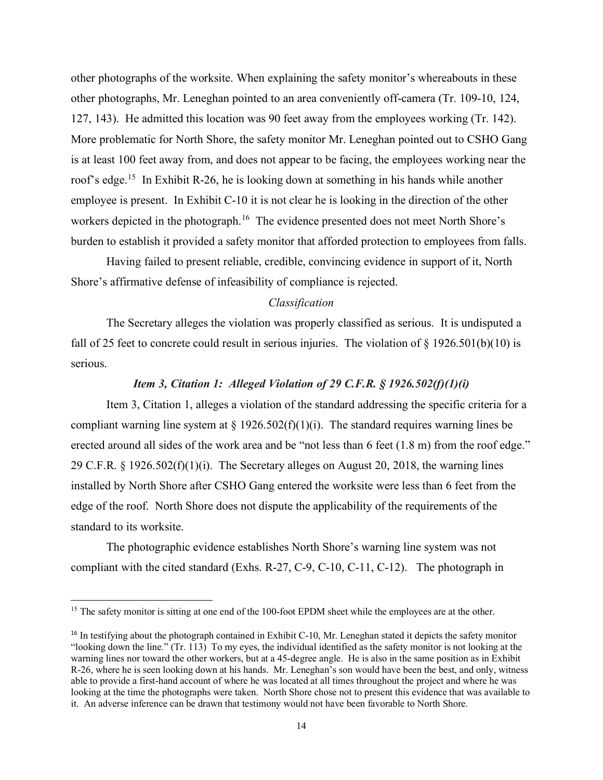127, 143). He admitted this location was 90 feet away from the employees working (Tr. 142). roof's edge.<sup>15</sup> In Exhibit R-26, he is looking down at something in his hands while another employee is present. In Exhibit C-10 it is not clear he is looking in the direction of the other workers depicted in the photograph.<sup>16</sup> The evidence presented does not meet North Shore's burden to establish it provided a safety monitor that afforded protection to employees from falls. burden to establish it provided a safety monitor that afforded protection to employees from falls. Having failed to present reliable, credible, convincing evidence in support of it, North other photographs of the worksite. When explaining the safety monitor's whereabouts in these other photographs, Mr. Leneghan pointed to an area conveniently off-camera (Tr. 109-10, 124, More problematic for North Shore, the safety monitor Mr. Leneghan pointed out to CSHO Gang is at least 100 feet away from, and does not appear to be facing, the employees working near the

Shore's affirmative defense of infeasibility of compliance is rejected.

## *Classification*

fall of 25 feet to concrete could result in serious injuries. The violation of  $\S 1926.501(b)(10)$  is The Secretary alleges the violation was properly classified as serious. It is undisputed a serious.

## *Item 3, Citation 1: Alleged Violation of 29 C.F.R. § 1926.502(f)(1)(i)*

compliant warning line system at  $\S 1926.502(f)(1)(i)$ . The standard requires warning lines be erected around all sides of the work area and be "not less than 6 feet (1.8 m) from the roof edge." erected around all sides of the work area and be "not less than 6 feet (1.8 m) from the roof edge."<br>29 C.F.R. § 1926.502(f)(1)(i). The Secretary alleges on August 20, 2018, the warning lines edge of the roof. North Shore does not dispute the applicability of the requirements of the Item 3, Citation 1, alleges a violation of the standard addressing the specific criteria for a installed by North Shore after CSHO Gang entered the worksite were less than 6 feet from the standard to its worksite.

 compliant with the cited standard (Exhs. R-27, C-9, C-10, C-11, C-12). The photograph in The photographic evidence establishes North Shore's warning line system was not

<span id="page-13-0"></span><sup>&</sup>lt;sup>15</sup> The safety monitor is sitting at one end of the 100-foot EPDM sheet while the employees are at the other.

<span id="page-13-1"></span> $16$  In testifying about the photograph contained in Exhibit C-10, Mr. Leneghan stated it depicts the safety monitor "looking down the line." (Tr. 113) To my eyes, the individual identified as the safety monitor is not looking at the warning lines nor toward the other workers, but at a 45-degree angle. He is also in the same position as in Exhibit R-26, where he is seen looking down at his hands. Mr. Leneghan's son would have been the best, and only, witness able to provide a first-hand account of where he was located at all times throughout the project and where he was looking at the time the photographs were taken. North Shore chose not to present this evidence that was available to it. An adverse inference can be drawn that testimony would not have been favorable to North Shore.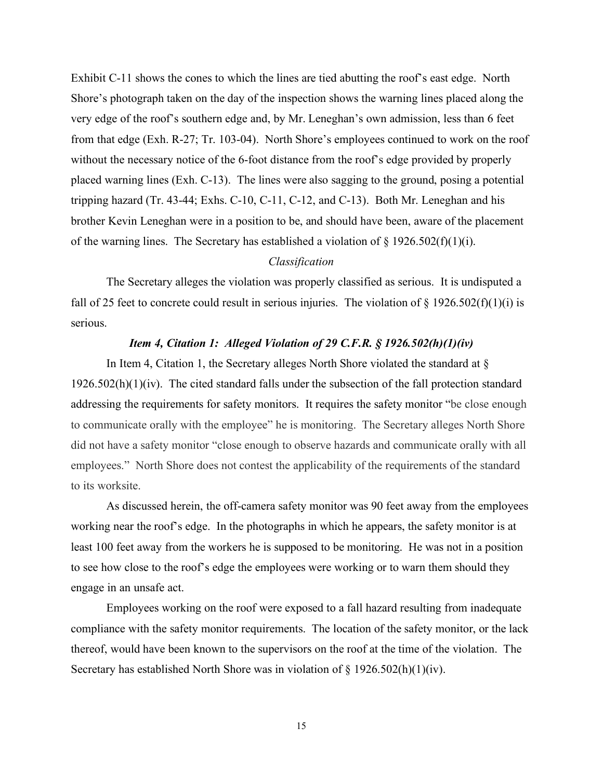Exhibit C-11 shows the cones to which the lines are tied abutting the roof's east edge. North from that edge (Exh. R-27; Tr. 103-04). North Shore's employees continued to work on the roof tripping hazard (Tr. 43-44; Exhs. C-10, C-11, C-12, and C-13). Both Mr. Leneghan and his of the warning lines. The Secretary has established a violation of  $\S 1926.502(f)(1)(i)$ . Shore's photograph taken on the day of the inspection shows the warning lines placed along the very edge of the roof's southern edge and, by Mr. Leneghan's own admission, less than 6 feet without the necessary notice of the 6-foot distance from the roof's edge provided by properly placed warning lines (Exh. C-13). The lines were also sagging to the ground, posing a potential brother Kevin Leneghan were in a position to be, and should have been, aware of the placement

## *Classification*

fall of 25 feet to concrete could result in serious injuries. The violation of  $\S 1926.502(f)(1)(i)$  is The Secretary alleges the violation was properly classified as serious. It is undisputed a serious.

## *Item 4, Citation 1: Alleged Violation of 29 C.F.R. § 1926.502(h)(1)(iv)*

 $1926.502(h)(1)(iv)$ . The cited standard falls under the subsection of the fall protection standard addressing the requirements for safety monitors. It requires the safety monitor "be close enough to communicate orally with the employee" he is monitoring. The Secretary alleges North Shore employees." North Shore does not contest the applicability of the requirements of the standard In Item 4, Citation 1, the Secretary alleges North Shore violated the standard at  $\S$ did not have a safety monitor "close enough to observe hazards and communicate orally with all to its worksite.

 working near the roof's edge. In the photographs in which he appears, the safety monitor is at least 100 feet away from the workers he is supposed to be monitoring. He was not in a position engage in an unsafe act. As discussed herein, the off-camera safety monitor was 90 feet away from the employees to see how close to the roof's edge the employees were working or to warn them should they

 compliance with the safety monitor requirements. The location of the safety monitor, or the lack thereof, would have been known to the supervisors on the roof at the time of the violation. The Employees working on the roof were exposed to a fall hazard resulting from inadequate Secretary has established North Shore was in violation of § 1926.502(h)(1)(iv).

15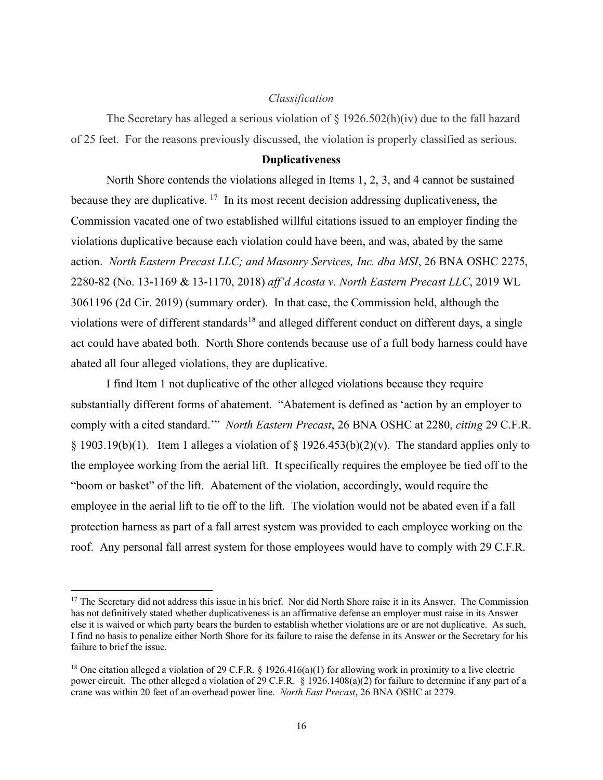### *Classification*

 of 25 feet. For the reasons previously discussed, the violation is properly classified as serious. The Secretary has alleged a serious violation of  $\S$  1926.502(h)(iv) due to the fall hazard

#### **Duplicativeness**

 North Shore contends the violations alleged in Items 1, 2, 3, and 4 cannot be sustained because they are duplicative.  $17$  In its most recent decision addressing duplicativeness, the Commission vacated one of two established willful citations issued to an employer finding the action. *North Eastern Precast LLC; and Masonry Services, Inc. dba MSI*, 26 BNA OSHC 2275, act could have abated both. North Shore contends because use of a full body harness could have violations duplicative because each violation could have been, and was, abated by the same 2280-82 (No. 13-1169 & 13-1170, 2018) *aff'd Acosta v. North Eastern Precast LLC*, 2019 WL 3061196 (2d Cir. 2019) (summary order). In that case, the Commission held, although the violations were of different standards<sup>18</sup> and alleged different conduct on different days, a single abated all four alleged violations, they are duplicative.

 substantially different forms of abatement. "Abatement is defined as 'action by an employer to comply with a cited standard.'" *North Eastern Precast*, 26 BNA OSHC at 2280, *citing* 29 C.F.R.  $\S 1903.19(b)(1)$ . Item 1 alleges a violation of  $\S 1926.453(b)(2)(v)$ . The standard applies only to the employee working from the aerial lift. It specifically requires the employee be tied off to the "boom or basket" of the lift. Abatement of the violation, accordingly, would require the employee in the aerial lift to tie off to the lift. The violation would not be abated even if a fall roof. Any personal fall arrest system for those employees would have to comply with 29 C.F.R. I find Item 1 not duplicative of the other alleged violations because they require protection harness as part of a fall arrest system was provided to each employee working on the

<span id="page-15-0"></span><sup>&</sup>lt;sup>17</sup> The Secretary did not address this issue in his brief. Nor did North Shore raise it in its Answer. The Commission else it is waived or which party bears the burden to establish whether violations are or are not duplicative. As such, I find no basis to penalize either North Shore for its failure to raise the defense in its Answer or the Secretary for his has not definitively stated whether duplicativeness is an affirmative defense an employer must raise in its Answer failure to brief the issue.

<span id="page-15-1"></span><sup>&</sup>lt;sup>18</sup> One citation alleged a violation of 29 C.F.R. § 1926.416(a)(1) for allowing work in proximity to a live electric power circuit. The other alleged a violation of 29 C.F.R. § 1926.1408(a)(2) for failure to determine if any part of a crane was within 20 feet of an overhead power line. *North East Precast*, 26 BNA OSHC at 2279.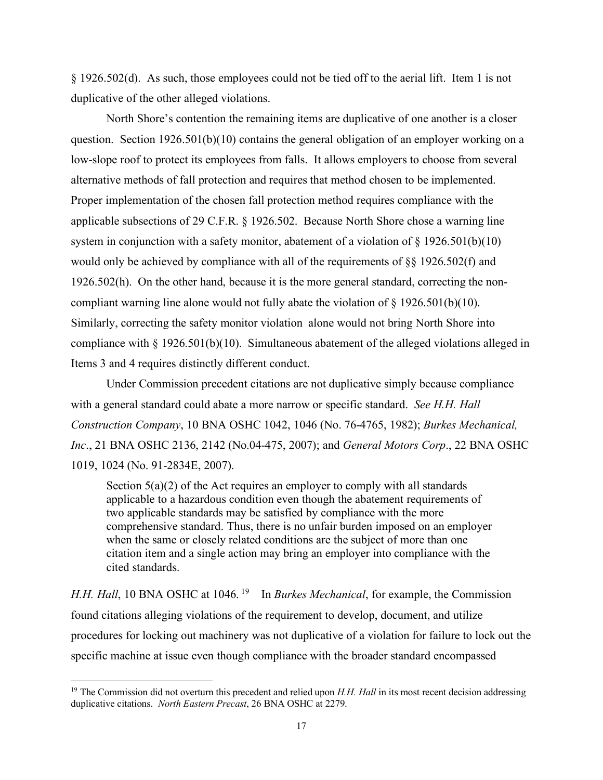§ 1926.502(d). As such, those employees could not be tied off to the aerial lift. Item 1 is not duplicative of the other alleged violations.

 question. Section 1926.501(b)(10) contains the general obligation of an employer working on a low-slope roof to protect its employees from falls. It allows employers to choose from several alternative methods of fall protection and requires that method chosen to be implemented. applicable subsections of 29 C.F.R. § 1926.502. Because North Shore chose a warning line 1926.502(h). On the other hand, because it is the more general standard, correcting the noncompliant warning line alone would not fully abate the violation of  $\S 1926.501(b)(10)$ . compliance with § 1926.501(b)(10). Simultaneous abatement of the alleged violations alleged in North Shore's contention the remaining items are duplicative of one another is a closer Proper implementation of the chosen fall protection method requires compliance with the system in conjunction with a safety monitor, abatement of a violation of  $\S 1926.501(b)(10)$ would only be achieved by compliance with all of the requirements of §§ 1926.502(f) and Similarly, correcting the safety monitor violation alone would not bring North Shore into Items 3 and 4 requires distinctly different conduct.

 Under Commission precedent citations are not duplicative simply because compliance with a general standard could abate a more narrow or specific standard. *See H.H. Hall*  1019, 1024 (No. 91-2834E, 2007). *Construction Company*, 10 BNA OSHC 1042, 1046 (No. 76-4765, 1982); *Burkes Mechanical, Inc*., 21 BNA OSHC 2136, 2142 (No.04-475, 2007); and *General Motors Corp*., 22 BNA OSHC

Section  $5(a)(2)$  of the Act requires an employer to comply with all standards applicable to a hazardous condition even though the abatement requirements of two applicable standards may be satisfied by compliance with the more comprehensive standard. Thus, there is no unfair burden imposed on an employer when the same or closely related conditions are the subject of more than one citation item and a single action may bring an employer into compliance with the cited standards.

*H.H. Hall*, 10 BNA OSHC at 1046.<sup>19</sup> In *Burkes Mechanical*, for example, the Commission found citations alleging violations of the requirement to develop, document, and utilize procedures for locking out machinery was not duplicative of a violation for failure to lock out the specific machine at issue even though compliance with the broader standard encompassed

<span id="page-16-0"></span> duplicative citations. *North Eastern Precast*, 26 BNA OSHC at 2279. <sup>19</sup> The Commission did not overturn this precedent and relied upon *H.H. Hall* in its most recent decision addressing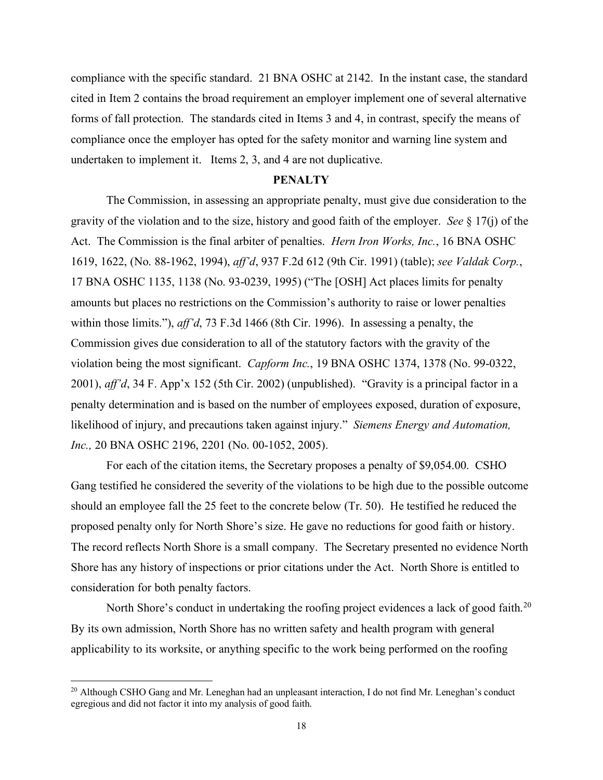compliance with the specific standard. 21 BNA OSHC at 2142. In the instant case, the standard forms of fall protection. The standards cited in Items 3 and 4, in contrast, specify the means of undertaken to implement it. Items 2, 3, and 4 are not duplicative. cited in Item 2 contains the broad requirement an employer implement one of several alternative compliance once the employer has opted for the safety monitor and warning line system and

### **PENALTY**

 gravity of the violation and to the size, history and good faith of the employer. *See* § 17(j) of the Act. The Commission is the final arbiter of penalties. *Hern Iron Works, Inc.*, 16 BNA OSHC 1619, 1622, (No. 88-1962, 1994), *aff'd*, 937 F.2d 612 (9th Cir. 1991) (table); *see Valdak Corp.*, within those limits."), *aff'd*, 73 F.3d 1466 (8th Cir. 1996). In assessing a penalty, the violation being the most significant. *Capform Inc.*, 19 BNA OSHC 1374, 1378 (No. 99-0322, 2001), *aff'd*, 34 F. App'x 152 (5th Cir. 2002) (unpublished). "Gravity is a principal factor in a likelihood of injury, and precautions taken against injury." *Siemens Energy and Automation, Inc.,* 20 BNA OSHC 2196, 2201 (No. 00-1052, 2005). The Commission, in assessing an appropriate penalty, must give due consideration to the 17 BNA OSHC 1135, 1138 (No. 93-0239, 1995) ("The [OSH] Act places limits for penalty amounts but places no restrictions on the Commission's authority to raise or lower penalties Commission gives due consideration to all of the statutory factors with the gravity of the penalty determination and is based on the number of employees exposed, duration of exposure,

 should an employee fall the 25 feet to the concrete below (Tr. 50). He testified he reduced the proposed penalty only for North Shore's size. He gave no reductions for good faith or history. proposed penalty only for North Shore's size. He gave no reductions for good faith or history. The record reflects North Shore is a small company. The Secretary presented no evidence North Shore has any history of inspections or prior citations under the Act. North Shore is entitled to For each of the citation items, the Secretary proposes a penalty of \$9,054.00. CSHO Gang testified he considered the severity of the violations to be high due to the possible outcome consideration for both penalty factors.

North Shore's conduct in undertaking the roofing project evidences a lack of good faith.<sup>20</sup> applicability to its worksite, or anything specific to the work being performed on the roofing By its own admission, North Shore has no written safety and health program with general

<span id="page-17-0"></span><sup>&</sup>lt;sup>20</sup> Although CSHO Gang and Mr. Leneghan had an unpleasant interaction, I do not find Mr. Leneghan's conduct egregious and did not factor it into my analysis of good faith.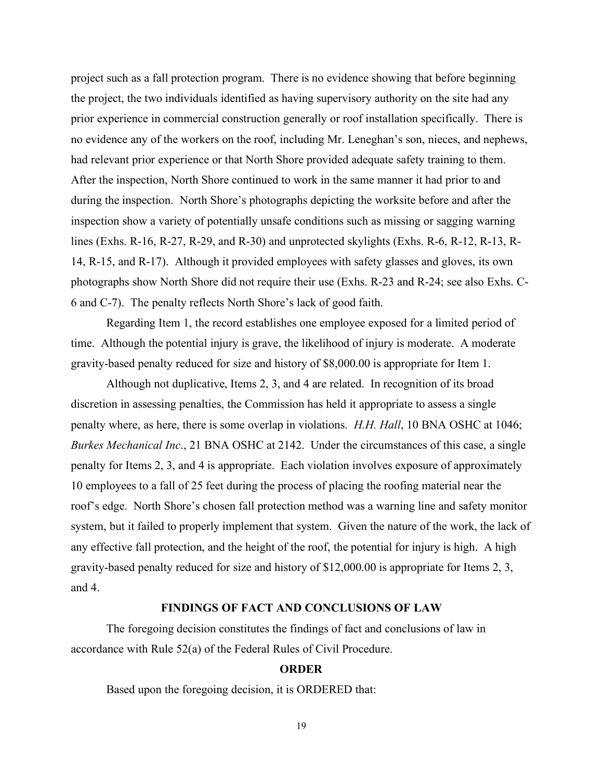project such as a fall protection program. There is no evidence showing that before beginning prior experience in commercial construction generally or roof installation specifically. There is no evidence any of the workers on the roof, including Mr. Leneghan's son, nieces, and nephews, lines (Exhs. R-16, R-27, R-29, and R-30) and unprotected skylights (Exhs. R-6, R-12, R-13, R- 6 and C-7). The penalty reflects North Shore's lack of good faith. the project, the two individuals identified as having supervisory authority on the site had any had relevant prior experience or that North Shore provided adequate safety training to them. After the inspection, North Shore continued to work in the same manner it had prior to and during the inspection. North Shore's photographs depicting the worksite before and after the inspection show a variety of potentially unsafe conditions such as missing or sagging warning 14, R-15, and R-17). Although it provided employees with safety glasses and gloves, its own photographs show North Shore did not require their use (Exhs. R-23 and R-24; see also Exhs. C-

 time. Although the potential injury is grave, the likelihood of injury is moderate. A moderate Regarding Item 1, the record establishes one employee exposed for a limited period of gravity-based penalty reduced for size and history of \$8,000.00 is appropriate for Item 1.

 Although not duplicative, Items 2, 3, and 4 are related. In recognition of its broad penalty where, as here, there is some overlap in violations. *H.H. Hall*, 10 BNA OSHC at 1046; penalty for Items 2, 3, and 4 is appropriate. Each violation involves exposure of approximately 10 employees to a fall of 25 feet during the process of placing the roofing material near the roof's edge. North Shore's chosen fall protection method was a warning line and safety monitor system, but it failed to properly implement that system. Given the nature of the work, the lack of gravity-based penalty reduced for size and history of \$12,000.00 is appropriate for Items 2, 3, discretion in assessing penalties, the Commission has held it appropriate to assess a single *Burkes Mechanical Inc*., 21 BNA OSHC at 2142. Under the circumstances of this case, a single any effective fall protection, and the height of the roof, the potential for injury is high. A high and 4.

## **FINDINGS OF FACT AND CONCLUSIONS OF LAW**

 accordance with Rule 52(a) of the Federal Rules of Civil Procedure. The foregoing decision constitutes the findings of fact and conclusions of law in

### **ORDER**

Based upon the foregoing decision, it is ORDERED that:

19